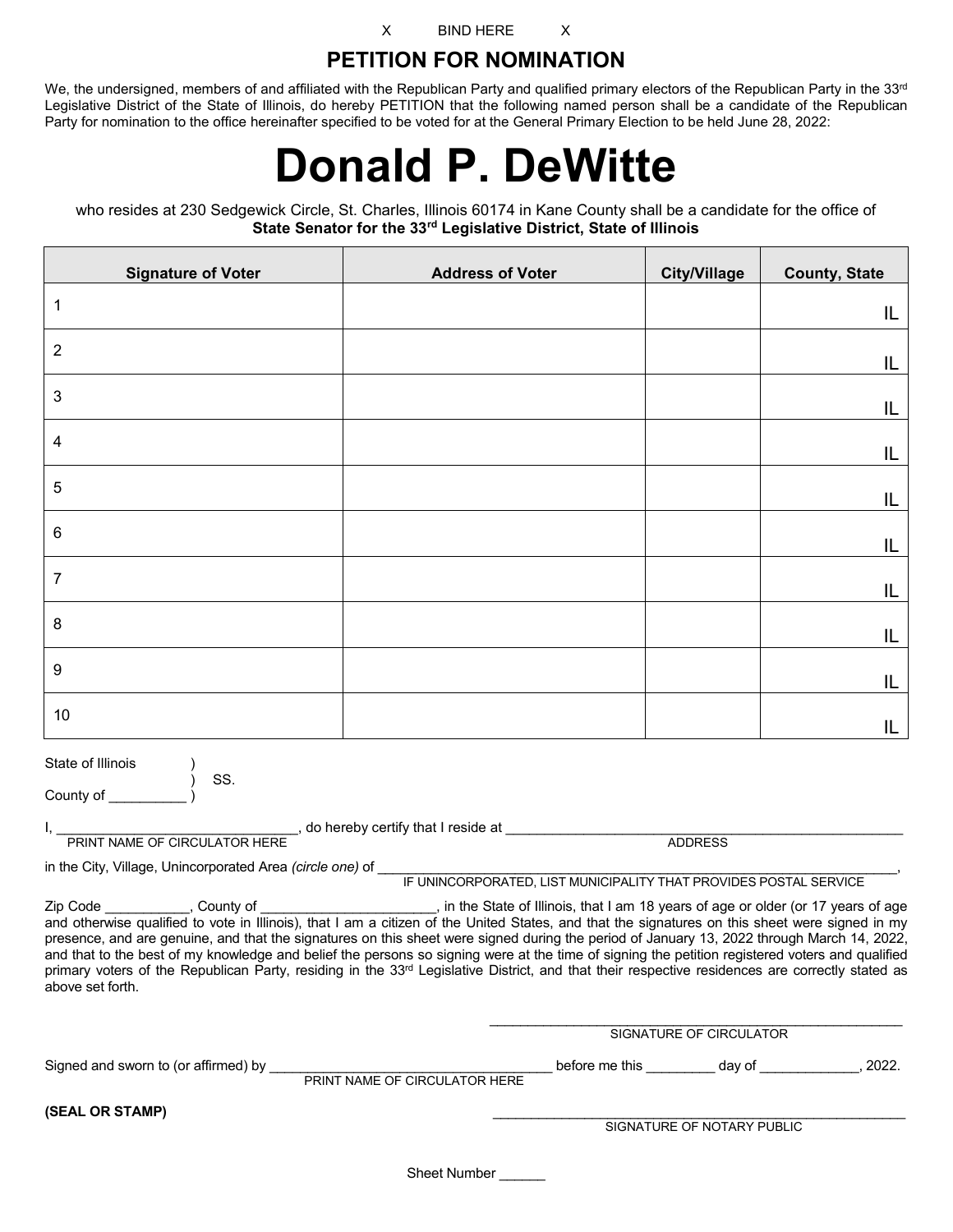X BIND HERE X

### **PETITION FOR NOMINATION**

We, the undersigned, members of and affiliated with the Republican Party and qualified primary electors of the Republican Party in the 33rd Legislative District of the State of Illinois, do hereby PETITION that the following named person shall be a candidate of the Republican Party for nomination to the office hereinafter specified to be voted for at the General Primary Election to be held June 28, 2022:

# **Donald P. DeWitte**

who resides at 230 Sedgewick Circle, St. Charles, Illinois 60174 in Kane County shall be a candidate for the office of **State Senator for the 33rd Legislative District, State of Illinois**

| <b>Signature of Voter</b>                                                                                                                                                                                                                                                                                                                                                                                                                                                                                                                                                                                                                                                                                                                                                        | <b>Address of Voter</b>       | <b>City/Village</b>            | <b>County, State</b>                                   |  |
|----------------------------------------------------------------------------------------------------------------------------------------------------------------------------------------------------------------------------------------------------------------------------------------------------------------------------------------------------------------------------------------------------------------------------------------------------------------------------------------------------------------------------------------------------------------------------------------------------------------------------------------------------------------------------------------------------------------------------------------------------------------------------------|-------------------------------|--------------------------------|--------------------------------------------------------|--|
| 1                                                                                                                                                                                                                                                                                                                                                                                                                                                                                                                                                                                                                                                                                                                                                                                |                               |                                | IL                                                     |  |
| 2                                                                                                                                                                                                                                                                                                                                                                                                                                                                                                                                                                                                                                                                                                                                                                                |                               |                                | IL                                                     |  |
| 3                                                                                                                                                                                                                                                                                                                                                                                                                                                                                                                                                                                                                                                                                                                                                                                |                               |                                | IL                                                     |  |
| 4                                                                                                                                                                                                                                                                                                                                                                                                                                                                                                                                                                                                                                                                                                                                                                                |                               |                                | IL                                                     |  |
| 5                                                                                                                                                                                                                                                                                                                                                                                                                                                                                                                                                                                                                                                                                                                                                                                |                               |                                | IL                                                     |  |
| 6                                                                                                                                                                                                                                                                                                                                                                                                                                                                                                                                                                                                                                                                                                                                                                                |                               |                                | IL                                                     |  |
| 7                                                                                                                                                                                                                                                                                                                                                                                                                                                                                                                                                                                                                                                                                                                                                                                |                               |                                | IL                                                     |  |
| 8                                                                                                                                                                                                                                                                                                                                                                                                                                                                                                                                                                                                                                                                                                                                                                                |                               |                                | IL                                                     |  |
| 9                                                                                                                                                                                                                                                                                                                                                                                                                                                                                                                                                                                                                                                                                                                                                                                |                               |                                | IL                                                     |  |
| 10                                                                                                                                                                                                                                                                                                                                                                                                                                                                                                                                                                                                                                                                                                                                                                               |                               |                                | IL.                                                    |  |
| State of Illinois<br>SS.<br>County of ______                                                                                                                                                                                                                                                                                                                                                                                                                                                                                                                                                                                                                                                                                                                                     |                               |                                |                                                        |  |
|                                                                                                                                                                                                                                                                                                                                                                                                                                                                                                                                                                                                                                                                                                                                                                                  |                               | ADDRESS                        |                                                        |  |
|                                                                                                                                                                                                                                                                                                                                                                                                                                                                                                                                                                                                                                                                                                                                                                                  |                               |                                |                                                        |  |
| Zip Code ___________, County of _______________________, in the State of Illinois, that I am 18 years of age or older (or 17 years of age<br>and otherwise qualified to vote in Illinois), that I am a citizen of the United States, and that the signatures on this sheet were signed in my<br>presence, and are genuine, and that the signatures on this sheet were signed during the period of January 13, 2022 through March 14, 2022,<br>and that to the best of my knowledge and belief the persons so signing were at the time of signing the petition registered voters and qualified<br>primary voters of the Republican Party, residing in the 33 <sup>rd</sup> Legislative District, and that their respective residences are correctly stated as<br>above set forth. |                               |                                |                                                        |  |
|                                                                                                                                                                                                                                                                                                                                                                                                                                                                                                                                                                                                                                                                                                                                                                                  |                               | <b>SIGNATURE OF CIRCULATOR</b> |                                                        |  |
| Signed and sworn to (or affirmed) by                                                                                                                                                                                                                                                                                                                                                                                                                                                                                                                                                                                                                                                                                                                                             | PRINT NAME OF CIRCULATOR HERE |                                | before me this __________ day of ______________, 2022. |  |
| (SEAL OR STAMP)                                                                                                                                                                                                                                                                                                                                                                                                                                                                                                                                                                                                                                                                                                                                                                  |                               |                                |                                                        |  |
|                                                                                                                                                                                                                                                                                                                                                                                                                                                                                                                                                                                                                                                                                                                                                                                  |                               | SIGNATURE OF NOTARY PUBLIC     |                                                        |  |

Sheet Number